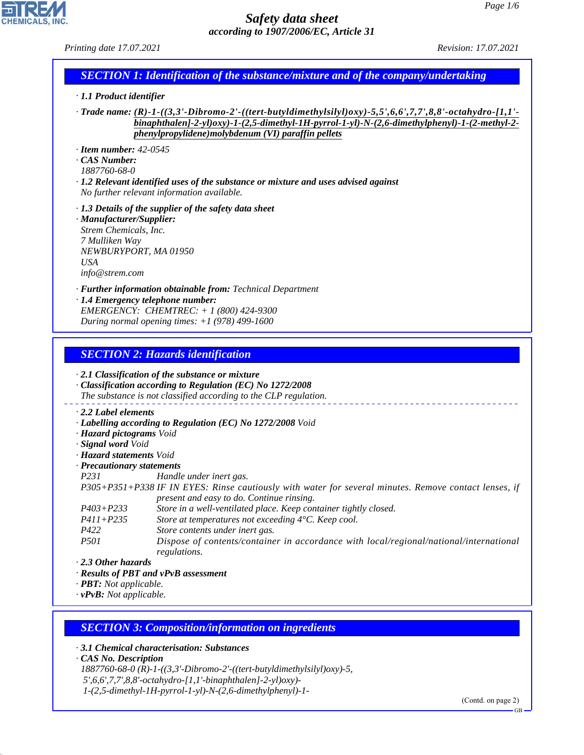*Printing date 17.07.2021 Revision: 17.07.2021*

# *SECTION 1: Identification of the substance/mixture and of the company/undertaking*

- *· 1.1 Product identifier*
- *· Trade name: (R)-1-((3,3'-Dibromo-2'-((tert-butyldimethylsilyl)oxy)-5,5',6,6',7,7',8,8'-octahydro-[1,1' binaphthalen]-2-yl)oxy)-1-(2,5-dimethyl-1H-pyrrol-1-yl)-N-(2,6-dimethylphenyl)-1-(2-methyl-2 phenylpropylidene)molybdenum (VI) paraffin pellets*
- *· Item number: 42-0545*
- *· CAS Number:*
- *1887760-68-0*
- *· 1.2 Relevant identified uses of the substance or mixture and uses advised against No further relevant information available.*
- *· 1.3 Details of the supplier of the safety data sheet*
- *· Manufacturer/Supplier: Strem Chemicals, Inc. 7 Mulliken Way NEWBURYPORT, MA 01950 USA info@strem.com*
- *· Further information obtainable from: Technical Department*
- *· 1.4 Emergency telephone number: EMERGENCY: CHEMTREC: + 1 (800) 424-9300 During normal opening times: +1 (978) 499-1600*

### *SECTION 2: Hazards identification*

*· 2.1 Classification of the substance or mixture*

- *· Classification according to Regulation (EC) No 1272/2008 The substance is not classified according to the CLP regulation.*
- *· 2.2 Label elements*
- *· Labelling according to Regulation (EC) No 1272/2008 Void*
- *· Hazard pictograms Void*
- *· Signal word Void*
- *· Hazard statements Void*
- *· Precautionary statements*
- *P231 Handle under inert gas.*
- *P305+P351+P338 IF IN EYES: Rinse cautiously with water for several minutes. Remove contact lenses, if present and easy to do. Continue rinsing.*
- *P403+P233 Store in a well-ventilated place. Keep container tightly closed.*
- *P411+P235 Store at temperatures not exceeding 4°C. Keep cool.*
- *P422 Store contents under inert gas.*
- *P501 Dispose of contents/container in accordance with local/regional/national/international regulations.*
- *· 2.3 Other hazards*
- *· Results of PBT and vPvB assessment*
- *· PBT: Not applicable.*
- *· vPvB: Not applicable.*

#### *SECTION 3: Composition/information on ingredients*

- *· 3.1 Chemical characterisation: Substances*
- *· CAS No. Description*

44.1.1

- *1887760-68-0 (R)-1-((3,3'-Dibromo-2'-((tert-butyldimethylsilyl)oxy)-5,*
- *5',6,6',7,7',8,8'-octahydro-[1,1'-binaphthalen]-2-yl)oxy)-*
- *1-(2,5-dimethyl-1H-pyrrol-1-yl)-N-(2,6-dimethylphenyl)-1-*

(Contd. on page 2)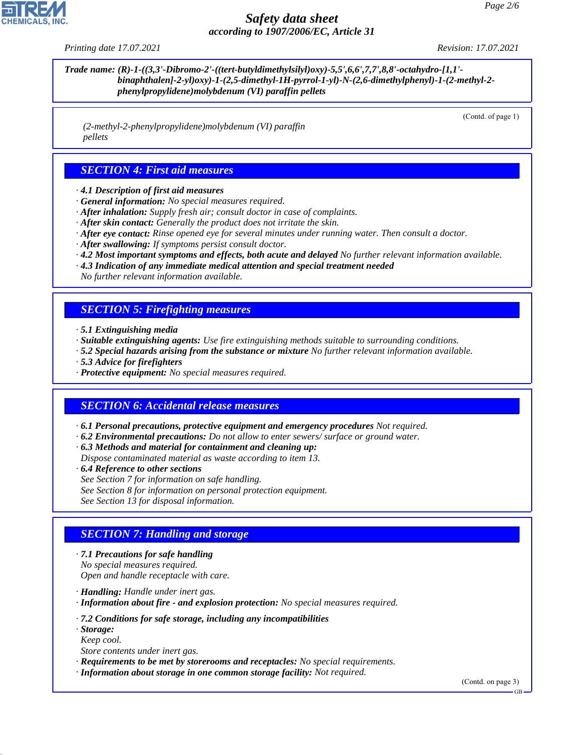*Printing date 17.07.2021 Revision: 17.07.2021*

*Trade name: (R)-1-((3,3'-Dibromo-2'-((tert-butyldimethylsilyl)oxy)-5,5',6,6',7,7',8,8'-octahydro-[1,1' binaphthalen]-2-yl)oxy)-1-(2,5-dimethyl-1H-pyrrol-1-yl)-N-(2,6-dimethylphenyl)-1-(2-methyl-2 phenylpropylidene)molybdenum (VI) paraffin pellets*

(Contd. of page 1)

 *(2-methyl-2-phenylpropylidene)molybdenum (VI) paraffin pellets*

## *SECTION 4: First aid measures*

- *· 4.1 Description of first aid measures*
- *· General information: No special measures required.*
- *· After inhalation: Supply fresh air; consult doctor in case of complaints.*
- *· After skin contact: Generally the product does not irritate the skin.*
- *· After eye contact: Rinse opened eye for several minutes under running water. Then consult a doctor.*
- *· After swallowing: If symptoms persist consult doctor.*
- *· 4.2 Most important symptoms and effects, both acute and delayed No further relevant information available.*
- *· 4.3 Indication of any immediate medical attention and special treatment needed*
- *No further relevant information available.*

## *SECTION 5: Firefighting measures*

- *· 5.1 Extinguishing media*
- *· Suitable extinguishing agents: Use fire extinguishing methods suitable to surrounding conditions.*
- *· 5.2 Special hazards arising from the substance or mixture No further relevant information available.*
- *· 5.3 Advice for firefighters*
- *· Protective equipment: No special measures required.*

## *SECTION 6: Accidental release measures*

- *· 6.1 Personal precautions, protective equipment and emergency procedures Not required.*
- *· 6.2 Environmental precautions: Do not allow to enter sewers/ surface or ground water.*
- *· 6.3 Methods and material for containment and cleaning up:*
- *Dispose contaminated material as waste according to item 13.*
- *· 6.4 Reference to other sections*
- *See Section 7 for information on safe handling.*
- *See Section 8 for information on personal protection equipment.*
- *See Section 13 for disposal information.*

#### *SECTION 7: Handling and storage*

- *· 7.1 Precautions for safe handling No special measures required. Open and handle receptacle with care.*
- *· Handling: Handle under inert gas.*
- *· Information about fire and explosion protection: No special measures required.*
- *· 7.2 Conditions for safe storage, including any incompatibilities*
- *· Storage:*

44.1.1

- *Keep cool. Store contents under inert gas.*
- *· Requirements to be met by storerooms and receptacles: No special requirements.*
- *· Information about storage in one common storage facility: Not required.*

(Contd. on page 3)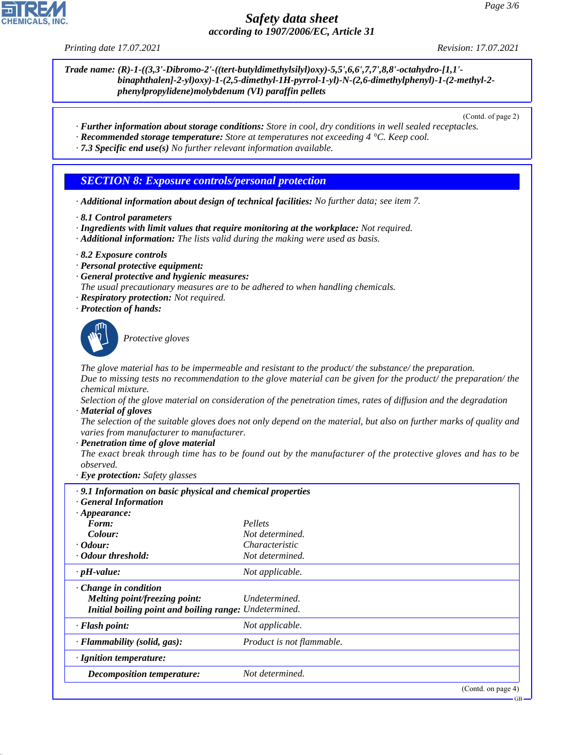*Printing date 17.07.2021 Revision: 17.07.2021*

*Trade name: (R)-1-((3,3'-Dibromo-2'-((tert-butyldimethylsilyl)oxy)-5,5',6,6',7,7',8,8'-octahydro-[1,1' binaphthalen]-2-yl)oxy)-1-(2,5-dimethyl-1H-pyrrol-1-yl)-N-(2,6-dimethylphenyl)-1-(2-methyl-2 phenylpropylidene)molybdenum (VI) paraffin pellets*

(Contd. of page 2)

- *· Further information about storage conditions: Store in cool, dry conditions in well sealed receptacles.*
- *· Recommended storage temperature: Store at temperatures not exceeding 4 °C. Keep cool.*
- *· 7.3 Specific end use(s) No further relevant information available.*

## *SECTION 8: Exposure controls/personal protection*

- *· Additional information about design of technical facilities: No further data; see item 7.*
- *· 8.1 Control parameters*
- *· Ingredients with limit values that require monitoring at the workplace: Not required.*
- *· Additional information: The lists valid during the making were used as basis.*
- *· 8.2 Exposure controls*
- *· Personal protective equipment:*
- *· General protective and hygienic measures:*
- *The usual precautionary measures are to be adhered to when handling chemicals.*
- *· Respiratory protection: Not required.*
- *· Protection of hands:*



44.1.1

\_S*Protective gloves*

*The glove material has to be impermeable and resistant to the product/ the substance/ the preparation.*

*Due to missing tests no recommendation to the glove material can be given for the product/ the preparation/ the chemical mixture.*

*Selection of the glove material on consideration of the penetration times, rates of diffusion and the degradation · Material of gloves*

*The selection of the suitable gloves does not only depend on the material, but also on further marks of quality and varies from manufacturer to manufacturer.*

*· Penetration time of glove material*

*The exact break through time has to be found out by the manufacturer of the protective gloves and has to be observed.*

*· Eye protection: Safety glasses*

| .9.1 Information on basic physical and chemical properties<br><b>General Information</b> |                           |                    |
|------------------------------------------------------------------------------------------|---------------------------|--------------------|
| $\cdot$ Appearance:                                                                      |                           |                    |
| Form:                                                                                    | Pellets                   |                    |
| Colour:                                                                                  | Not determined.           |                    |
| $\cdot$ Odour:                                                                           | Characteristic            |                    |
| • Odour threshold:                                                                       | Not determined.           |                    |
| $\cdot$ pH-value:                                                                        | Not applicable.           |                    |
| $\cdot$ Change in condition                                                              |                           |                    |
| Melting point/freezing point:                                                            | Undetermined.             |                    |
| Initial boiling point and boiling range: Undetermined.                                   |                           |                    |
| · Flash point:                                                                           | Not applicable.           |                    |
| $\cdot$ Flammability (solid, gas):                                                       | Product is not flammable. |                    |
| · Ignition temperature:                                                                  |                           |                    |
| <b>Decomposition temperature:</b>                                                        | Not determined.           |                    |
|                                                                                          |                           | (Contd. on page 4) |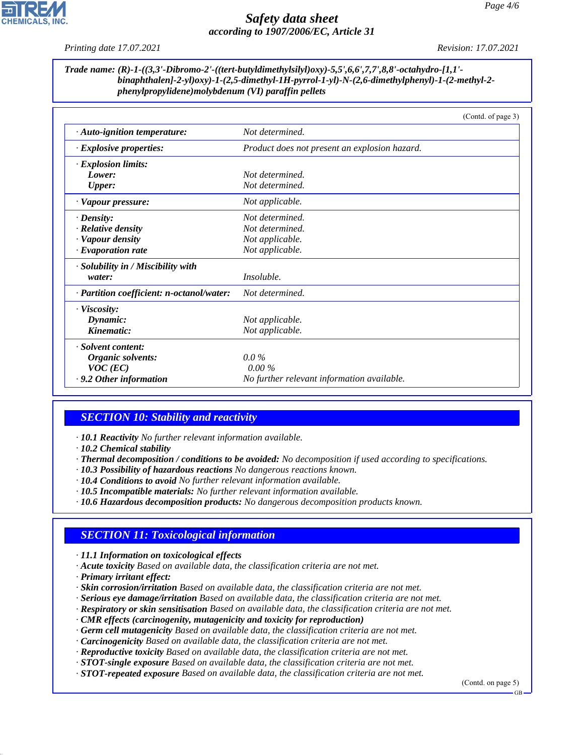*Printing date 17.07.2021 Revision: 17.07.2021*

#### *Trade name: (R)-1-((3,3'-Dibromo-2'-((tert-butyldimethylsilyl)oxy)-5,5',6,6',7,7',8,8'-octahydro-[1,1' binaphthalen]-2-yl)oxy)-1-(2,5-dimethyl-1H-pyrrol-1-yl)-N-(2,6-dimethylphenyl)-1-(2-methyl-2 phenylpropylidene)molybdenum (VI) paraffin pellets*

|                                           | (Contd. of page 3)                            |
|-------------------------------------------|-----------------------------------------------|
| · Auto-ignition temperature:              | Not determined.                               |
| $\cdot$ Explosive properties:             | Product does not present an explosion hazard. |
| $\cdot$ Explosion limits:                 |                                               |
| Lower:                                    | Not determined.                               |
| <b>Upper:</b>                             | Not determined.                               |
| · Vapour pressure:                        | Not applicable.                               |
| $\cdot$ Density:                          | Not determined.                               |
| $\cdot$ Relative density                  | Not determined.                               |
| · Vapour density                          | Not applicable.                               |
| $\cdot$ Evaporation rate                  | Not applicable.                               |
| · Solubility in / Miscibility with        |                                               |
| water:                                    | <i>Insoluble.</i>                             |
| · Partition coefficient: n-octanol/water: | Not determined.                               |
| $\cdot$ Viscosity:                        |                                               |
| Dynamic:                                  | Not applicable.                               |
| Kinematic:                                | Not applicable.                               |
| · Solvent content:                        |                                               |
| Organic solvents:                         | $0.0\%$                                       |
| $VOC$ (EC)                                | $0.00\%$                                      |
| $\cdot$ 9.2 Other information             | No further relevant information available.    |

# *SECTION 10: Stability and reactivity*

- *· 10.1 Reactivity No further relevant information available.*
- *· 10.2 Chemical stability*
- *· Thermal decomposition / conditions to be avoided: No decomposition if used according to specifications.*
- *· 10.3 Possibility of hazardous reactions No dangerous reactions known.*
- *· 10.4 Conditions to avoid No further relevant information available.*
- *· 10.5 Incompatible materials: No further relevant information available.*
- *· 10.6 Hazardous decomposition products: No dangerous decomposition products known.*

## *SECTION 11: Toxicological information*

*· 11.1 Information on toxicological effects*

- *· Acute toxicity Based on available data, the classification criteria are not met.*
- *· Primary irritant effect:*

44.1.1

- *· Skin corrosion/irritation Based on available data, the classification criteria are not met.*
- *· Serious eye damage/irritation Based on available data, the classification criteria are not met.*
- *· Respiratory or skin sensitisation Based on available data, the classification criteria are not met.*
- *· CMR effects (carcinogenity, mutagenicity and toxicity for reproduction)*
- *· Germ cell mutagenicity Based on available data, the classification criteria are not met.*
- *· Carcinogenicity Based on available data, the classification criteria are not met.*
- *· Reproductive toxicity Based on available data, the classification criteria are not met.*
- *· STOT-single exposure Based on available data, the classification criteria are not met.*
- *· STOT-repeated exposure Based on available data, the classification criteria are not met.*

(Contd. on page 5)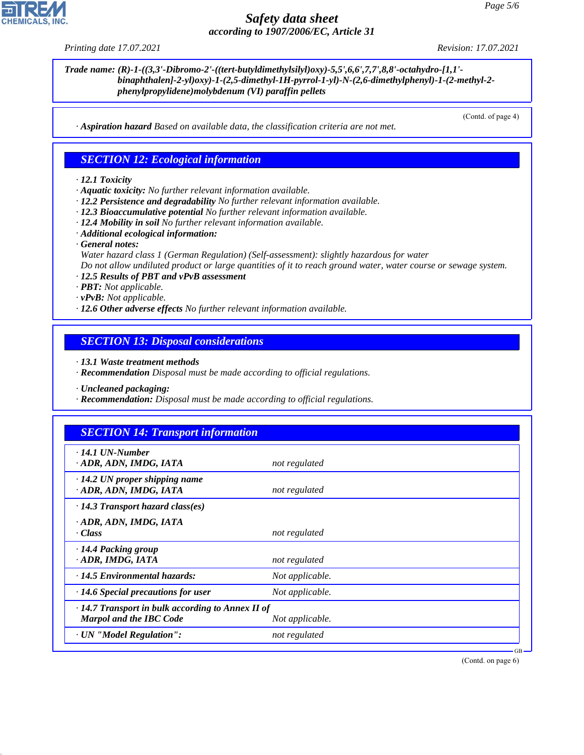44.1.1

## *Safety data sheet according to 1907/2006/EC, Article 31*

*Printing date 17.07.2021 Revision: 17.07.2021*

*Trade name: (R)-1-((3,3'-Dibromo-2'-((tert-butyldimethylsilyl)oxy)-5,5',6,6',7,7',8,8'-octahydro-[1,1' binaphthalen]-2-yl)oxy)-1-(2,5-dimethyl-1H-pyrrol-1-yl)-N-(2,6-dimethylphenyl)-1-(2-methyl-2 phenylpropylidene)molybdenum (VI) paraffin pellets*

(Contd. of page 4)

*· Aspiration hazard Based on available data, the classification criteria are not met.*

### *SECTION 12: Ecological information*

#### *· 12.1 Toxicity*

*· Aquatic toxicity: No further relevant information available.*

- *· 12.2 Persistence and degradability No further relevant information available.*
- *· 12.3 Bioaccumulative potential No further relevant information available.*
- *· 12.4 Mobility in soil No further relevant information available.*
- *· Additional ecological information:*

*· General notes:*

*Water hazard class 1 (German Regulation) (Self-assessment): slightly hazardous for water*

*Do not allow undiluted product or large quantities of it to reach ground water, water course or sewage system.*

*· 12.5 Results of PBT and vPvB assessment*

*· PBT: Not applicable.*

*· vPvB: Not applicable.*

*· 12.6 Other adverse effects No further relevant information available.*

*SECTION 13: Disposal considerations*

*· 13.1 Waste treatment methods*

*· Recommendation Disposal must be made according to official regulations.*

*· Uncleaned packaging:*

*· Recommendation: Disposal must be made according to official regulations.*

### *SECTION 14: Transport information*

| $\cdot$ 14.1 UN-Number<br>ADR, ADN, IMDG, IATA                                            | not regulated   |
|-------------------------------------------------------------------------------------------|-----------------|
| $\cdot$ 14.2 UN proper shipping name<br>· ADR, ADN, IMDG, IATA                            | not regulated   |
| $\cdot$ 14.3 Transport hazard class(es)                                                   |                 |
| · ADR, ADN, IMDG, IATA<br>· Class                                                         | not regulated   |
| · 14.4 Packing group<br>· ADR, IMDG, IATA                                                 | not regulated   |
| $\cdot$ 14.5 Environmental hazards:                                                       | Not applicable. |
| $\cdot$ 14.6 Special precautions for user                                                 | Not applicable. |
| $\cdot$ 14.7 Transport in bulk according to Annex II of<br><b>Marpol and the IBC Code</b> | Not applicable. |
| · UN "Model Regulation":                                                                  | not regulated   |
|                                                                                           |                 |

(Contd. on page 6)